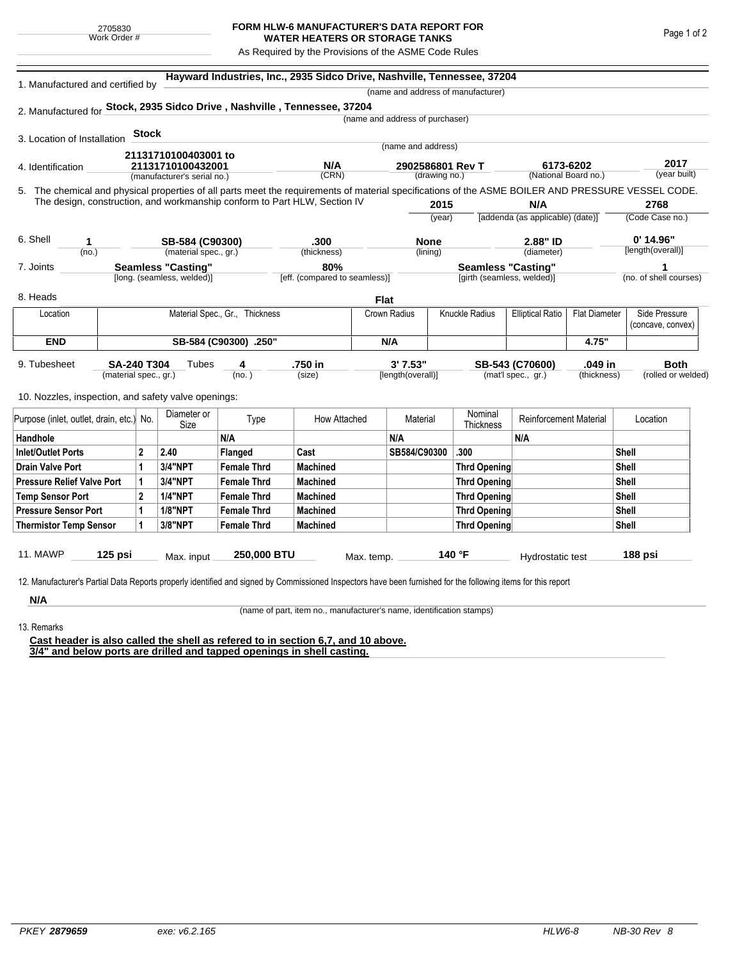## **FORM HLW-6 MANUFACTURER'S DATA REPORT FOR WATER HEATERS OR STORAGE TANKS**

As Required by the Provisions of the ASME Code Rules

| 1. Manufactured and certified by                                          |                           |                                |                                                     | Hayward Industries, Inc., 2935 Sidco Drive, Nashville, Tennessee, 37204                                                                            |                               |                  |                                 |                       |                                    |                                                 |                      |                                  |                        |
|---------------------------------------------------------------------------|---------------------------|--------------------------------|-----------------------------------------------------|----------------------------------------------------------------------------------------------------------------------------------------------------|-------------------------------|------------------|---------------------------------|-----------------------|------------------------------------|-------------------------------------------------|----------------------|----------------------------------|------------------------|
|                                                                           |                           |                                |                                                     |                                                                                                                                                    |                               |                  |                                 |                       | (name and address of manufacturer) |                                                 |                      |                                  |                        |
|                                                                           |                           |                                |                                                     | 2. Manufactured for Stock, 2935 Sidco Drive, Nashville, Tennessee, 37204                                                                           |                               |                  |                                 |                       |                                    |                                                 |                      |                                  |                        |
|                                                                           |                           |                                |                                                     |                                                                                                                                                    |                               |                  | (name and address of purchaser) |                       |                                    |                                                 |                      |                                  |                        |
| 3. Location of Installation                                               |                           | <b>Stock</b>                   |                                                     |                                                                                                                                                    |                               |                  |                                 |                       |                                    |                                                 |                      |                                  |                        |
|                                                                           |                           |                                | 21131710100403001 to                                |                                                                                                                                                    |                               |                  | (name and address)              |                       |                                    |                                                 |                      |                                  |                        |
| 4. Identification                                                         |                           |                                | 21131710100432001                                   |                                                                                                                                                    | N/A                           | 2902586801 Rev T |                                 |                       |                                    | 6173-6202                                       |                      | 2017                             |                        |
|                                                                           |                           |                                | (manufacturer's serial no.)                         |                                                                                                                                                    | (CRN)                         |                  |                                 | (drawing no.)         |                                    |                                                 | (National Board no.) |                                  | (year built)           |
|                                                                           |                           |                                |                                                     | 5. The chemical and physical properties of all parts meet the requirements of material specifications of the ASME BOILER AND PRESSURE VESSEL CODE. |                               |                  |                                 |                       |                                    |                                                 |                      |                                  |                        |
| The design, construction, and workmanship conform to Part HLW, Section IV |                           |                                |                                                     |                                                                                                                                                    |                               | 2015             |                                 |                       | N/A                                |                                                 |                      | 2768                             |                        |
|                                                                           |                           |                                |                                                     |                                                                                                                                                    |                               |                  |                                 | (year)                |                                    | [addenda (as applicable) (date)]                |                      |                                  | (Code Case no.)        |
| 6. Shell                                                                  | 1                         |                                | SB-584 (C90300)                                     |                                                                                                                                                    | .300<br>(thickness)           |                  | <b>None</b><br>(lining)         |                       |                                    | 2.88" ID<br>(diameter)                          |                      | $0'$ 14.96"<br>[length(overall)] |                        |
|                                                                           | (no.)                     |                                | (material spec., gr.)                               |                                                                                                                                                    |                               |                  |                                 |                       |                                    |                                                 |                      |                                  |                        |
| 7. Joints                                                                 | <b>Seamless "Casting"</b> |                                |                                                     |                                                                                                                                                    | 80%                           |                  | <b>Seamless "Casting"</b>       |                       |                                    |                                                 |                      |                                  |                        |
|                                                                           |                           |                                | [long. (seamless, welded)]                          |                                                                                                                                                    | [eff. (compared to seamless)] |                  |                                 |                       | [girth (seamless, welded)]         |                                                 |                      |                                  | (no. of shell courses) |
| 8. Heads                                                                  |                           |                                |                                                     |                                                                                                                                                    |                               | <b>Flat</b>      |                                 |                       |                                    |                                                 |                      |                                  |                        |
| Location                                                                  |                           | Material Spec., Gr., Thickness |                                                     |                                                                                                                                                    |                               |                  | Crown Radius                    | <b>Knuckle Radius</b> |                                    | <b>Elliptical Ratio</b><br><b>Flat Diameter</b> |                      |                                  | Side Pressure          |
|                                                                           |                           |                                |                                                     |                                                                                                                                                    |                               |                  |                                 |                       |                                    |                                                 |                      |                                  | (concave, convex)      |
| <b>END</b><br>SB-584 (C90300) .250"                                       |                           |                                |                                                     |                                                                                                                                                    |                               | N/A              |                                 |                       | 4.75"                              |                                                 |                      |                                  |                        |
| 9. Tubesheet                                                              | <b>SA-240 T304</b>        |                                | Tubes                                               | 4                                                                                                                                                  | .750 in                       |                  | 3'7.53''                        |                       |                                    | SB-543 (C70600)                                 | .049 in              |                                  | <b>Both</b>            |
|                                                                           | (material spec., gr.)     |                                |                                                     | (no. )                                                                                                                                             | (size)                        |                  | [length(overall)]               |                       |                                    | (mat'l spec., gr.)                              | (thickness)          |                                  | (rolled or welded)     |
|                                                                           |                           |                                |                                                     |                                                                                                                                                    |                               |                  |                                 |                       |                                    |                                                 |                      |                                  |                        |
|                                                                           |                           |                                | 10. Nozzles, inspection, and safety valve openings: |                                                                                                                                                    |                               |                  |                                 |                       |                                    |                                                 |                      |                                  |                        |
| Purpose (inlet, outlet, drain, etc.) No.                                  |                           |                                | Diameter or<br>Size                                 | Type                                                                                                                                               | How Attached                  |                  | Material                        |                       | Nominal<br>Thickness               | <b>Reinforcement Material</b>                   |                      | Location                         |                        |
| Handhole                                                                  |                           |                                |                                                     | N/A                                                                                                                                                |                               |                  | N/A                             |                       |                                    | N/A                                             |                      |                                  |                        |
| <b>Inlet/Outlet Ports</b>                                                 |                           | $\mathbf 2$                    | 2.40                                                | <b>Flanged</b>                                                                                                                                     | Cast                          |                  | SB584/C90300                    |                       | .300                               |                                                 |                      | <b>Shell</b>                     |                        |
| Drain Valve Port                                                          |                           | 1                              | <b>3/4"NPT</b>                                      | <b>Female Thrd</b>                                                                                                                                 | <b>Machined</b>               |                  |                                 |                       | <b>Thrd Opening</b>                |                                                 |                      | Shell                            |                        |
| <b>Pressure Relief Valve Port</b>                                         |                           | 1                              | <b>3/4"NPT</b>                                      | <b>Female Thrd</b>                                                                                                                                 | <b>Machined</b>               |                  |                                 |                       | <b>Thrd Opening</b>                |                                                 |                      | Shell                            |                        |
| <b>Temp Sensor Port</b>                                                   |                           | $\mathbf{2}$                   | <b>1/4"NPT</b>                                      | <b>Female Thrd</b>                                                                                                                                 | <b>Machined</b>               |                  |                                 |                       | <b>Thrd Opening</b>                |                                                 |                      | <b>Shell</b>                     |                        |
| <b>Pressure Sensor Port</b>                                               |                           | 1                              | <b>1/8"NPT</b>                                      | <b>Female Thrd</b>                                                                                                                                 | <b>Machined</b>               |                  |                                 |                       | <b>Thrd Opening</b>                |                                                 |                      | <b>Shell</b>                     |                        |
| <b>Thermistor Temp Sensor</b>                                             |                           | 1                              | 3/8"NPT                                             | <b>Female Thrd</b>                                                                                                                                 | <b>Machined</b>               |                  |                                 | <b>Thrd Opening</b>   |                                    |                                                 |                      | <b>Shell</b>                     |                        |
|                                                                           |                           |                                |                                                     |                                                                                                                                                    |                               |                  |                                 |                       |                                    |                                                 |                      |                                  |                        |
| <b>11. MAWP</b>                                                           | 125 psi                   |                                | Max. input                                          | 250,000 BTU                                                                                                                                        |                               | Max. temp.       |                                 |                       | 140 °F                             | Hydrostatic test                                |                      |                                  | 188 psi                |

**N/A** 13. Remarks

(name of part, item no., manufacturer's name, identification stamps)

**Cast header is also called the shell as refered to in section 6,7, and 10 above. 3/4" and below ports are drilled and tapped openings in shell casting.**